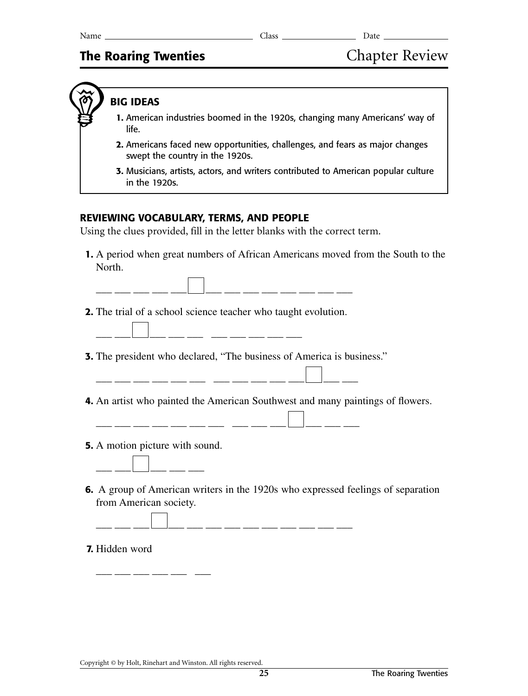# **The Roaring Twenties Chapter Review**

# **BIG IDEAS**

- **1.** American industries boomed in the 1920s, changing many Americans' way of life.
- **2.** Americans faced new opportunities, challenges, and fears as major changes swept the country in the 1920s.
- **3.** Musicians, artists, actors, and writers contributed to American popular culture in the 1920s.

## **REVIEWING VOCABULARY, TERMS, AND PEOPLE**

Using the clues provided, fill in the letter blanks with the correct term.

 **1.** A period when great numbers of African Americans moved from the South to the North.

\_\_ \_\_\_ \_\_ \_\_ \_\_ \_\_ \_\_ \_\_ \_\_ \_\_

- **2.** The trial of a school science teacher who taught evolution.
	- \_\_\_ \_\_\_ \_\_\_ \_\_\_ \_\_\_ \_\_\_ \_\_\_ \_\_\_
- **3.** The president who declared, "The business of America is business."
- \_\_ \_\_\_ \_\_\_ \_\_\_ \_\_\_ \_\_\_ \_\_\_ \_\_\_ \_\_\_
- **4.** An artist who painted the American Southwest and many paintings of flowers.

|             | _______ |         |      | _______ |       |         |  |  |
|-------------|---------|---------|------|---------|-------|---------|--|--|
| ____<br>- - |         | _______ | ____ |         | _____ | _______ |  |  |

- **5.** A motion picture with sound.
	- \_\_\_\_ \_\_\_ \_\_\_ \_\_\_ \_\_\_\_ \_\_\_\_

\_\_\_\_ \_\_\_ \_\_\_ \_\_\_ \_\_\_ \_\_\_ \_\_\_

 **6.** A group of American writers in the 1920s who expressed feelings of separation from American society.

\_\_\_ \_\_\_\_ \_\_\_\_ \_\_\_\_ \_\_\_\_ \_\_\_\_ \_\_\_\_ \_\_\_

#### **7.** Hidden word